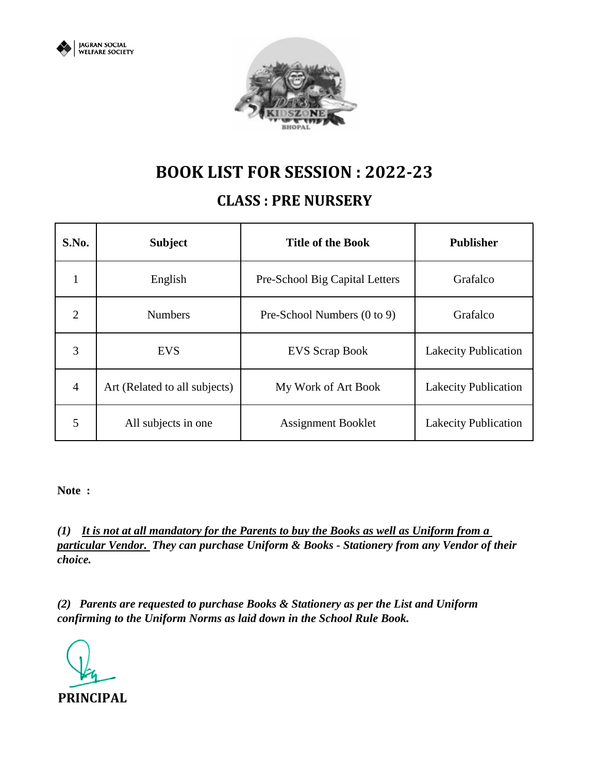



# **BOOK LIST FOR SESSION : 2022-23**

#### **CLASS : PRE NURSERY**

| S.No.          | <b>Subject</b>                | <b>Title of the Book</b>       | <b>Publisher</b>            |
|----------------|-------------------------------|--------------------------------|-----------------------------|
| 1              | English                       | Pre-School Big Capital Letters | Grafalco                    |
| $\overline{2}$ | <b>Numbers</b>                | Pre-School Numbers (0 to 9)    | Grafalco                    |
| 3              | <b>EVS</b>                    | <b>EVS</b> Scrap Book          | <b>Lakecity Publication</b> |
| $\overline{4}$ | Art (Related to all subjects) | My Work of Art Book            | <b>Lakecity Publication</b> |
| 5              | All subjects in one           | <b>Assignment Booklet</b>      | <b>Lakecity Publication</b> |

**Note :** 

*(1) It is not at all mandatory for the Parents to buy the Books as well as Uniform from a particular Vendor. They can purchase Uniform & Books - Stationery from any Vendor of their choice.*

*(2) Parents are requested to purchase Books & Stationery as per the List and Uniform confirming to the Uniform Norms as laid down in the School Rule Book.*

**PRINCIPAL**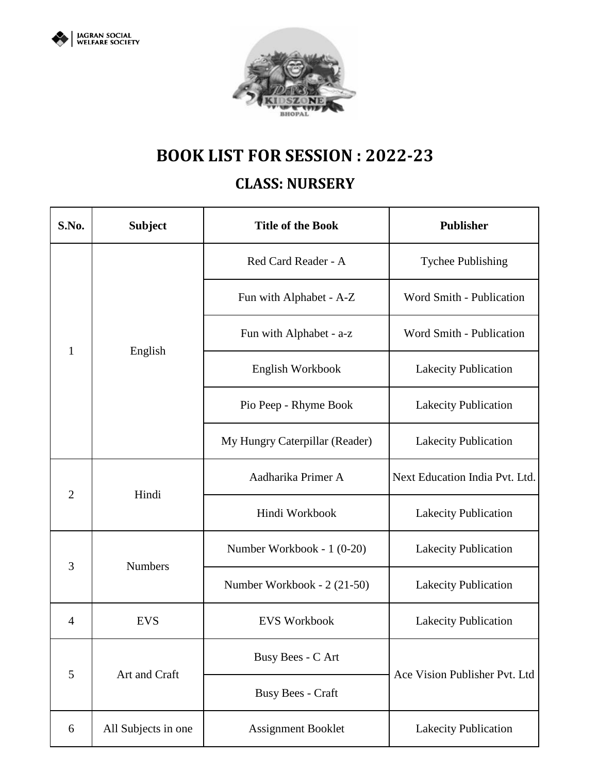



# **BOOK LIST FOR SESSION : 2022-23**

## **CLASS: NURSERY**

| S.No.          | <b>Subject</b>      | <b>Title of the Book</b>       | Publisher                      |
|----------------|---------------------|--------------------------------|--------------------------------|
| $\mathbf{1}$   | English             | Red Card Reader - A            | <b>Tychee Publishing</b>       |
|                |                     | Fun with Alphabet - A-Z        | Word Smith - Publication       |
|                |                     | Fun with Alphabet - a-z        | Word Smith - Publication       |
|                |                     | English Workbook               | Lakecity Publication           |
|                |                     | Pio Peep - Rhyme Book          | Lakecity Publication           |
|                |                     | My Hungry Caterpillar (Reader) | Lakecity Publication           |
| $\overline{2}$ | Hindi               | Aadharika Primer A             | Next Education India Pvt. Ltd. |
|                |                     | Hindi Workbook                 | Lakecity Publication           |
| 3              | <b>Numbers</b>      | Number Workbook - 1 (0-20)     | <b>Lakecity Publication</b>    |
|                |                     | Number Workbook - 2 (21-50)    | <b>Lakecity Publication</b>    |
| 4              | <b>EVS</b>          | <b>EVS Workbook</b>            | <b>Lakecity Publication</b>    |
| 5              | Art and Craft       | Busy Bees - C Art              |                                |
|                |                     | <b>Busy Bees - Craft</b>       | Ace Vision Publisher Pvt. Ltd  |
| 6              | All Subjects in one | <b>Assignment Booklet</b>      | Lakecity Publication           |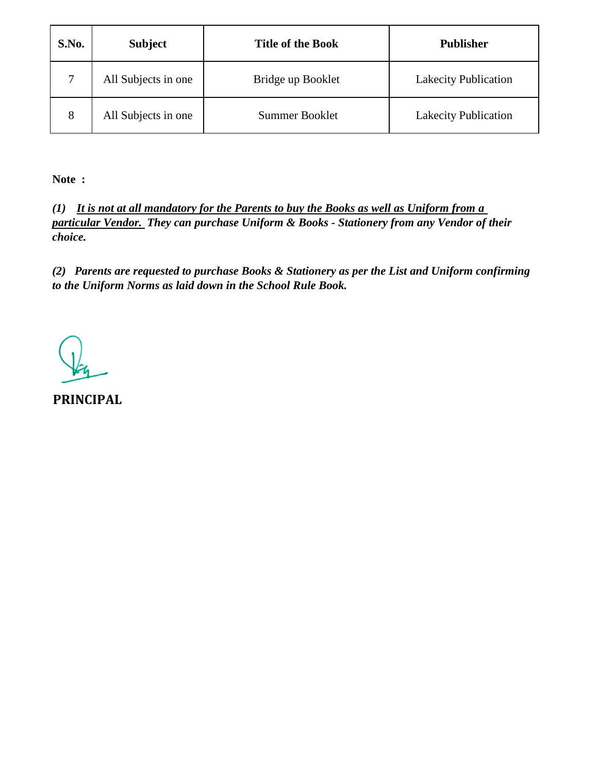| S.No. | <b>Subject</b>      | <b>Title of the Book</b> | <b>Publisher</b>            |
|-------|---------------------|--------------------------|-----------------------------|
| 7     | All Subjects in one | Bridge up Booklet        | <b>Lakecity Publication</b> |
| 8     | All Subjects in one | <b>Summer Booklet</b>    | <b>Lakecity Publication</b> |

**Note :** 

*(1) It is not at all mandatory for the Parents to buy the Books as well as Uniform from a particular Vendor. They can purchase Uniform & Books - Stationery from any Vendor of their choice.*

*(2) Parents are requested to purchase Books & Stationery as per the List and Uniform confirming to the Uniform Norms as laid down in the School Rule Book.*

**PRINCIPAL**